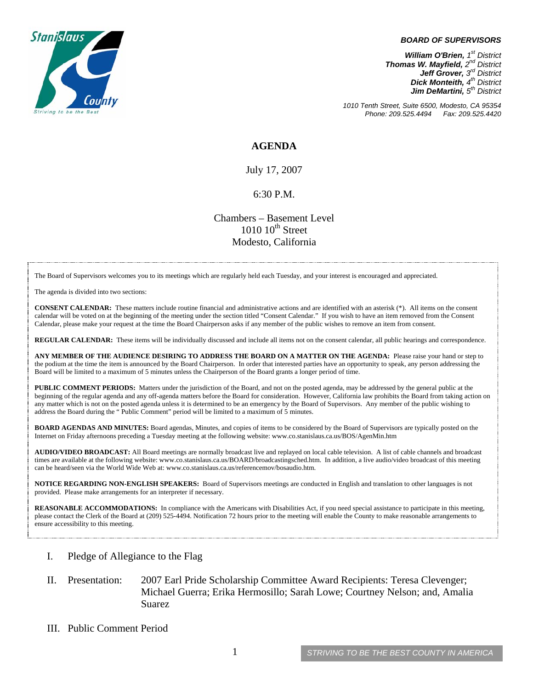

#### *BOARD OF SUPERVISORS*

*William O'Brien, 1st District Thomas W. Mayfield, 2nd District Jeff Grover, 3rd District Dick Monteith, 4th District Jim DeMartini,*  $5<sup>th</sup>$  District

*1010 Tenth Street, Suite 6500, Modesto, CA 95354 Phone: 209.525.4494 Fax: 209.525.4420* 

#### **AGENDA**

July 17, 2007

#### 6:30 P.M.

Chambers – Basement Level  $1010~10<sup>th</sup>$  Street Modesto, California

The Board of Supervisors welcomes you to its meetings which are regularly held each Tuesday, and your interest is encouraged and appreciated.

The agenda is divided into two sections:

**CONSENT CALENDAR:** These matters include routine financial and administrative actions and are identified with an asterisk (\*). All items on the consent calendar will be voted on at the beginning of the meeting under the section titled "Consent Calendar." If you wish to have an item removed from the Consent Calendar, please make your request at the time the Board Chairperson asks if any member of the public wishes to remove an item from consent.

**REGULAR CALENDAR:** These items will be individually discussed and include all items not on the consent calendar, all public hearings and correspondence.

**ANY MEMBER OF THE AUDIENCE DESIRING TO ADDRESS THE BOARD ON A MATTER ON THE AGENDA:** Please raise your hand or step to the podium at the time the item is announced by the Board Chairperson. In order that interested parties have an opportunity to speak, any person addressing the Board will be limited to a maximum of 5 minutes unless the Chairperson of the Board grants a longer period of time.

**PUBLIC COMMENT PERIODS:** Matters under the jurisdiction of the Board, and not on the posted agenda, may be addressed by the general public at the beginning of the regular agenda and any off-agenda matters before the Board for consideration. However, California law prohibits the Board from taking action on any matter which is not on the posted agenda unless it is determined to be an emergency by the Board of Supervisors. Any member of the public wishing to address the Board during the " Public Comment" period will be limited to a maximum of 5 minutes.

**BOARD AGENDAS AND MINUTES:** Board agendas, Minutes, and copies of items to be considered by the Board of Supervisors are typically posted on the Internet on Friday afternoons preceding a Tuesday meeting at the following website: [www.co.stanislaus.ca.us/BOS/AgenMin.htm](http://www.co.stanislaus.ca.us/BOS/AgenMin.htm) 

**AUDIO/VIDEO BROADCAST:** All Board meetings are normally broadcast live and replayed on local cable television. A list of cable channels and broadcast times are available at the following website: [www.co.stanislaus.ca.us/BOARD/broadcastingsched.htm](http://www.co.stanislaus.ca.us/BOARD/broadcastingsched.htm). In addition, a live audio/video broadcast of this meeting can be heard/seen via the World Wide Web at: [www.co.stanislaus.ca.us/referencemov/bosaudio.htm.](http://www.co.stanislaus.ca.us/referencemov/bosaudio.htm)

**NOTICE REGARDING NON-ENGLISH SPEAKERS:** Board of Supervisors meetings are conducted in English and translation to other languages is not provided. Please make arrangements for an interpreter if necessary.

**REASONABLE ACCOMMODATIONS:** In compliance with the Americans with Disabilities Act, if you need special assistance to participate in this meeting, please contact the Clerk of the Board at (209) 525-4494. Notification 72 hours prior to the meeting will enable the County to make reasonable arrangements to ensure accessibility to this meeting.

- I. Pledge of Allegiance to the Flag
- II. Presentation: 2007 Earl Pride Scholarship Committee Award Recipients: Teresa Clevenger; Michael Guerra; Erika Hermosillo; Sarah Lowe; Courtney Nelson; and, Amalia Suarez
- III. Public Comment Period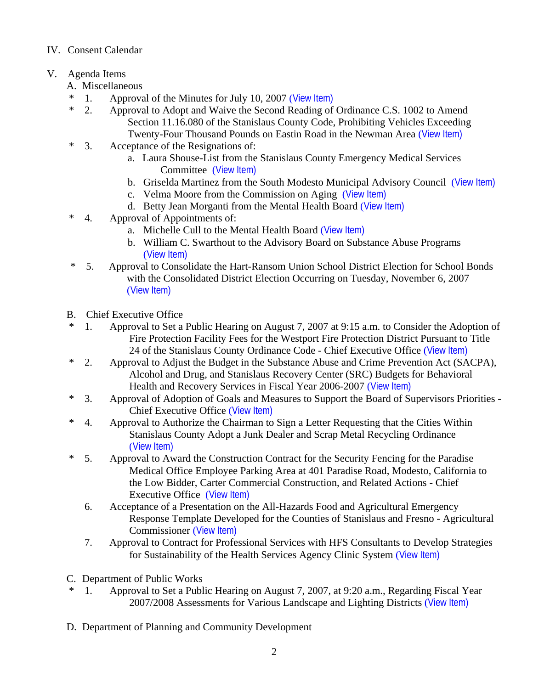## IV. Consent Calendar

# V. Agenda Items

- A. Miscellaneous
- \* 1. Approval of the Minutes for July 10, 2007 ([View Item\)](http://www.co.stanislaus.ca.us/bos/minutes/2007/min07-10-07.pdf)
- \* 2. Approval to Adopt and Waive the Second Reading of Ordinance C.S. 1002 to Amend Section 11.16.080 of the Stanislaus County Code, Prohibiting Vehicles Exceeding Twenty-Four Thousand Pounds on Eastin Road in the Newman Area ([View Item\)](http://www.co.stanislaus.ca.us/bos/agenda/2007/20070717/A02.pdf)
- \* 3. Acceptance of the Resignations of:
	- a. Laura Shouse-List from the Stanislaus County Emergency Medical Services Committee ([View Item\)](http://www.co.stanislaus.ca.us/bos/agenda/2007/20070717/A03a.pdf)
	- b. Griselda Martinez from the South Modesto Municipal Advisory Council ([View Item\)](http://www.co.stanislaus.ca.us/bos/agenda/2007/20070717/A03b.pdf)
	- c. Velma Moore from the Commission on Aging ([View Item\)](http://www.co.stanislaus.ca.us/bos/agenda/2007/20070717/A03c.pdf)
	- d. Betty Jean Morganti from the Mental Health Board ([View Item\)](http://www.co.stanislaus.ca.us/bos/agenda/2007/20070717/A03d.pdf)
- \* 4. Approval of Appointments of:
	- a. Michelle Cull to the Mental Health Board ([View Item\)](http://www.co.stanislaus.ca.us/bos/agenda/2007/20070717/A04a.pdf)
	- b. William C. Swarthout to the Advisory Board on Substance Abuse Programs ([View Item\)](http://www.co.stanislaus.ca.us/bos/agenda/2007/20070717/A04b.pdf)
- \* 5. Approval to Consolidate the Hart-Ransom Union School District Election for School Bonds with the Consolidated District Election Occurring on Tuesday, November 6, 2007 ([View Item\)](http://www.co.stanislaus.ca.us/bos/agenda/2007/20070717/A05.pdf)
- B. Chief Executive Office
- \* 1. Approval to Set a Public Hearing on August 7, 2007 at 9:15 a.m. to Consider the Adoption of Fire Protection Facility Fees for the Westport Fire Protection District Pursuant to Title 24 of the Stanislaus County Ordinance Code - Chief Executive Office ([View Item\)](http://www.co.stanislaus.ca.us/bos/agenda/2007/20070717/B01.pdf)
- \* 2. Approval to Adjust the Budget in the Substance Abuse and Crime Prevention Act (SACPA), Alcohol and Drug, and Stanislaus Recovery Center (SRC) Budgets for Behavioral Health and Recovery Services in Fiscal Year 2006-2007 ([View Item\)](http://www.co.stanislaus.ca.us/bos/agenda/2007/20070717/B02.pdf)
- \* 3. Approval of Adoption of Goals and Measures to Support the Board of Supervisors Priorities Chief Executive Office ([View Item\)](http://www.co.stanislaus.ca.us/bos/agenda/2007/20070717/B03.pdf)
- \* 4. Approval to Authorize the Chairman to Sign a Letter Requesting that the Cities Within Stanislaus County Adopt a Junk Dealer and Scrap Metal Recycling Ordinance ([View Item\)](http://www.co.stanislaus.ca.us/bos/agenda/2007/20070717/B04.pdf)
- \* 5. Approval to Award the Construction Contract for the Security Fencing for the Paradise Medical Office Employee Parking Area at 401 Paradise Road, Modesto, California to the Low Bidder, Carter Commercial Construction, and Related Actions - Chief Executive Office ([View Item\)](http://www.co.stanislaus.ca.us/bos/agenda/2007/20070717/B05.pdf)
	- 6. Acceptance of a Presentation on the All-Hazards Food and Agricultural Emergency Response Template Developed for the Counties of Stanislaus and Fresno - Agricultural Commissioner ([View Item\)](http://www.co.stanislaus.ca.us/bos/agenda/2007/20070717/B06.pdf)
	- 7. Approval to Contract for Professional Services with HFS Consultants to Develop Strategies for Sustainability of the Health Services Agency Clinic System ([View Item\)](http://www.co.stanislaus.ca.us/bos/agenda/2007/20070717/B07.pdf)
- C. Department of Public Works
- \* 1. Approval to Set a Public Hearing on August 7, 2007, at 9:20 a.m., Regarding Fiscal Year 2007/2008 Assessments for Various Landscape and Lighting Districts ([View Item\)](http://www.co.stanislaus.ca.us/bos/agenda/2007/20070717/C01.pdf)
- D. Department of Planning and Community Development